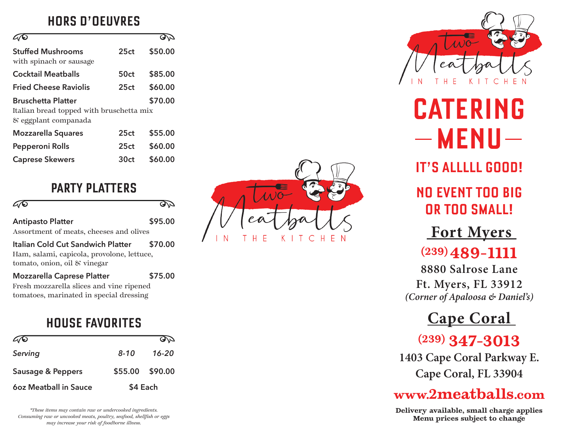### **HORS D'OEUVRES**

| <b>Stuffed Mushrooms</b><br>with spinach or sausage.                                                     | 25ct | \$50.00 |  |
|----------------------------------------------------------------------------------------------------------|------|---------|--|
| Cocktail Meatballs                                                                                       | 50ct | \$85.00 |  |
| <b>Fried Cheese Raviolis</b>                                                                             | 25ct | \$60.00 |  |
| <b>Bruschetta Platter</b><br>\$70.00<br>Italian bread topped with bruschetta mix<br>& eggplant companada |      |         |  |
| <b>Mozzarella Squares</b>                                                                                | 25ct | \$55.00 |  |
| Pepperoni Rolls                                                                                          | 25ct | \$60.00 |  |
| <b>Caprese Skewers</b>                                                                                   | 30ct | \$60.00 |  |

#### **PARTY PLATTERS**

| $\varpi$                 | DD      |
|--------------------------|---------|
| <b>Antipasto Platter</b> | \$95.00 |

Assortment of meats, cheeses and olives

**Italian Cold Cut Sandwich Platter \$70.00** Ham, salami, capicola, provolone, lettuce, tomato, onion, oil & vinegar

**Mozzarella Caprese Platter \$75.00**

Fresh mozzarella slices and vine ripened tomatoes, marinated in special dressing

### **HOUSE FAVORITES**

| AT                    |                 | DD    |
|-----------------------|-----------------|-------|
| Serving               | $8 - 10$        | 16-20 |
| Sausage & Peppers     | \$55.00 \$90.00 |       |
| 60z Meatball in Sauce | \$4 Each        |       |

*\*These items may contain raw or undercooked ingredients. Consuming raw or uncooked meats, poultry, seafood, shellfish or eggs may increase your risk of foodborne illness.*





**CATERING**   $-$ **MENU** $-$ 

**IT'S ALLLLL GOOD!**

**NO EVENT TOO BIG OR TOO SMALL!** 

 **Fort Myers** 

# **(239) 489-1111**

**8880 Salrose Lane Ft. Myers, FL 33912** *(Corner of Apaloosa & Daniel's)*

# **Cape Coral**

**(239) 347-3013**

**1403 Cape Coral Parkway E. Cape Coral, FL 33904**

## **www.2meatballs.com**

**Delivery available, small charge applies Menu prices subject to change**